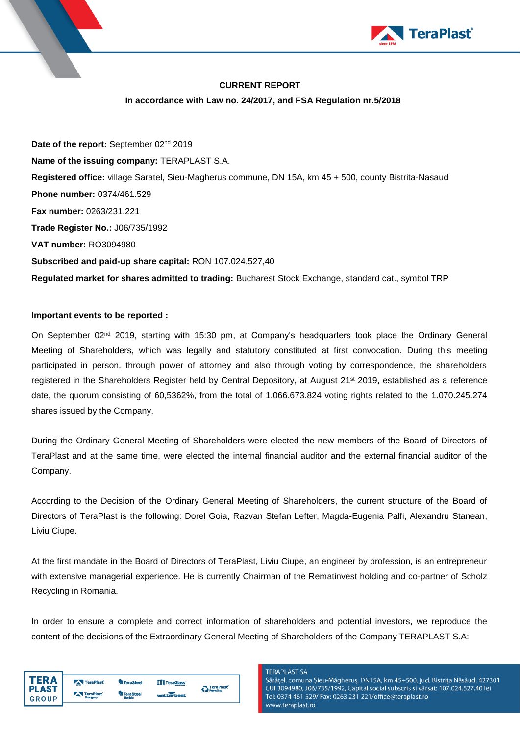

### **CURRENT REPORT**

### **In accordance with Law no. 24/2017, and FSA Regulation nr.5/2018**

Date of the report: September 02<sup>nd</sup> 2019 **Name of the issuing company:** TERAPLAST S.A. **Registered office:** village Saratel, Sieu-Magherus commune, DN 15A, km 45 + 500, county Bistrita-Nasaud **Phone number:** 0374/461.529 **Fax number:** 0263/231.221 **Trade Register No.:** J06/735/1992 **VAT number:** RO3094980 **Subscribed and paid-up share capital:** RON 107.024.527,40 **Regulated market for shares admitted to trading:** Bucharest Stock Exchange, standard cat., symbol TRP

### **Important events to be reported :**

On September 02nd 2019, starting with 15:30 pm, at Company's headquarters took place the Ordinary General Meeting of Shareholders, which was legally and statutory constituted at first convocation. During this meeting participated in person, through power of attorney and also through voting by correspondence, the shareholders registered in the Shareholders Register held by Central Depository, at August 21<sup>st</sup> 2019, established as a reference date, the quorum consisting of 60,5362%, from the total of 1.066.673.824 voting rights related to the 1.070.245.274 shares issued by the Company.

During the Ordinary General Meeting of Shareholders were elected the new members of the Board of Directors of TeraPlast and at the same time, were elected the internal financial auditor and the external financial auditor of the Company.

According to the Decision of the Ordinary General Meeting of Shareholders, the current structure of the Board of Directors of TeraPlast is the following: Dorel Goia, Razvan Stefan Lefter, Magda-Eugenia Palfi, Alexandru Stanean, Liviu Ciupe.

At the first mandate in the Board of Directors of TeraPlast, Liviu Ciupe, an engineer by profession, is an entrepreneur with extensive managerial experience. He is currently Chairman of the Rematinvest holding and co-partner of Scholz Recycling in Romania.

In order to ensure a complete and correct information of shareholders and potential investors, we reproduce the content of the decisions of the Extraordinary General Meeting of Shareholders of the Company TERAPLAST S.A:

| TER A          | TeraPlast  | <sup>ण</sup> ी TeraSteel | TeraGlass' | <b>TeraPlast</b> |
|----------------|------------|--------------------------|------------|------------------|
| <b>I PLAST</b> |            | <b>TeraSteel</b>         |            | <b>Recycling</b> |
| <b>GROUP</b>   | TeraPlast' | Serbia                   | wetterbest |                  |

#### **TERAPI AST SA**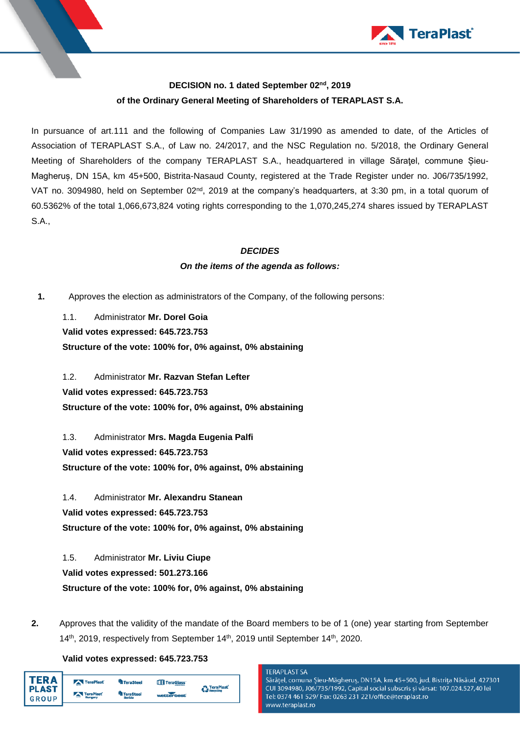

## **DECISION no. 1 dated September 02nd, 2019 of the Ordinary General Meeting of Shareholders of TERAPLAST S.A.**

In pursuance of art.111 and the following of Companies Law 31/1990 as amended to date, of the Articles of Association of TERAPLAST S.A., of Law no. 24/2017, and the NSC Regulation no. 5/2018, the Ordinary General Meeting of Shareholders of the company TERAPLAST S.A., headquartered in village Săratel, commune Sieu-Magheruș, DN 15A, km 45+500, Bistrita-Nasaud County, registered at the Trade Register under no. J06/735/1992, VAT no. 3094980, held on September 02<sup>nd</sup>, 2019 at the company's headquarters, at 3:30 pm, in a total quorum of 60.5362% of the total 1,066,673,824 voting rights corresponding to the 1,070,245,274 shares issued by TERAPLAST S.A.,

## *DECIDES*

## *On the items of the agenda as follows:*

**1.** Approves the election as administrators of the Company, of the following persons:

1.1. Administrator **Mr. Dorel Goia Valid votes expressed: 645.723.753 Structure of the vote: 100% for, 0% against, 0% abstaining**

1.2. Administrator **Mr. Razvan Stefan Lefter Valid votes expressed: 645.723.753 Structure of the vote: 100% for, 0% against, 0% abstaining**

1.3. Administrator **Mrs. Magda Eugenia Palfi Valid votes expressed: 645.723.753 Structure of the vote: 100% for, 0% against, 0% abstaining**

1.4. Administrator **Mr. Alexandru Stanean Valid votes expressed: 645.723.753 Structure of the vote: 100% for, 0% against, 0% abstaining**

1.5. Administrator **Mr. Liviu Ciupe Valid votes expressed: 501.273.166 Structure of the vote: 100% for, 0% against, 0% abstaining**

**2.** Approves that the validity of the mandate of the Board members to be of 1 (one) year starting from September 14<sup>th</sup>, 2019, respectively from September 14<sup>th</sup>, 2019 until September 14<sup>th</sup>, 2020.

### **Valid votes expressed: 645.723.753**

|  | DЛ<br><b>PLAST</b><br>GROUP | TeraPlast<br>TeraPlast | <sup>th</sup> TeraSteel<br><b>TeraSteel</b><br>Serbia | TeraGlass'<br>webberbest | <b>TeraPlast</b><br><b>Recycling</b> |
|--|-----------------------------|------------------------|-------------------------------------------------------|--------------------------|--------------------------------------|
|--|-----------------------------|------------------------|-------------------------------------------------------|--------------------------|--------------------------------------|

#### **TERAPLAST SA**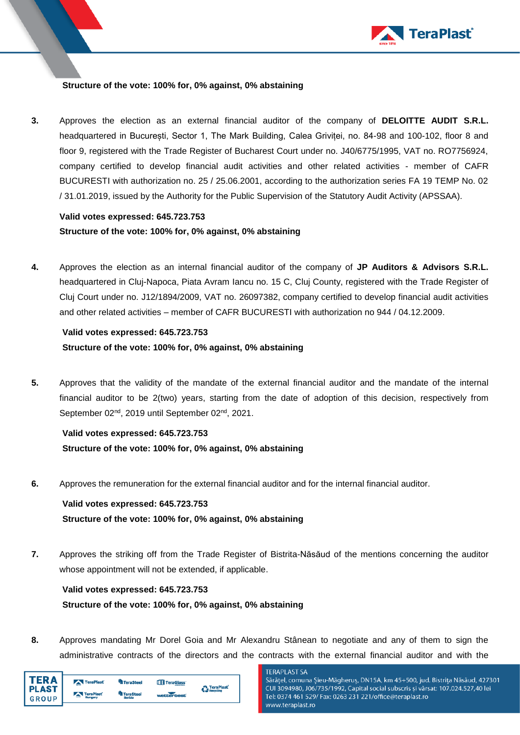

### **Structure of the vote: 100% for, 0% against, 0% abstaining**

**3.** Approves the election as an external financial auditor of the company of **DELOITTE AUDIT S.R.L.** headquartered in București, Sector 1, The Mark Building, Calea Griviței, no. 84-98 and 100-102, floor 8 and floor 9, registered with the Trade Register of Bucharest Court under no. J40/6775/1995, VAT no. RO7756924, company certified to develop financial audit activities and other related activities - member of CAFR BUCURESTI with authorization no. 25 / 25.06.2001, according to the authorization series FA 19 TEMP No. 02 / 31.01.2019, issued by the Authority for the Public Supervision of the Statutory Audit Activity (APSSAA).

## **Valid votes expressed: 645.723.753 Structure of the vote: 100% for, 0% against, 0% abstaining**

**4.** Approves the election as an internal financial auditor of the company of **JP Auditors & Advisors S.R.L.** headquartered in Cluj-Napoca, Piata Avram Iancu no. 15 C, Cluj County, registered with the Trade Register of Cluj Court under no. J12/1894/2009, VAT no. 26097382, company certified to develop financial audit activities and other related activities – member of CAFR BUCURESTI with authorization no 944 / 04.12.2009.

# **Valid votes expressed: 645.723.753 Structure of the vote: 100% for, 0% against, 0% abstaining**

**5.** Approves that the validity of the mandate of the external financial auditor and the mandate of the internal financial auditor to be 2(two) years, starting from the date of adoption of this decision, respectively from September 02nd, 2019 until September 02nd, 2021.

# **Valid votes expressed: 645.723.753 Structure of the vote: 100% for, 0% against, 0% abstaining**

**6.** Approves the remuneration for the external financial auditor and for the internal financial auditor.

# **Valid votes expressed: 645.723.753 Structure of the vote: 100% for, 0% against, 0% abstaining**

**7.** Approves the striking off from the Trade Register of Bistrita-Năsăud of the mentions concerning the auditor whose appointment will not be extended, if applicable.

# **Valid votes expressed: 645.723.753 Structure of the vote: 100% for, 0% against, 0% abstaining**

**8.** Approves mandating Mr Dorel Goia and Mr Alexandru Stânean to negotiate and any of them to sign the administrative contracts of the directors and the contracts with the external financial auditor and with the

| 'FR A                   | TeraPlast            | TeraSteel                  | TeraGlass' | <b>TeraPlast</b> |
|-------------------------|----------------------|----------------------------|------------|------------------|
| l PLAST<br><b>GROUP</b> | TeraPlast<br>Hungary | <b>TeraSteel</b><br>Serbia | wetterbest | <b>Recycling</b> |

**TERAPLAST SA**